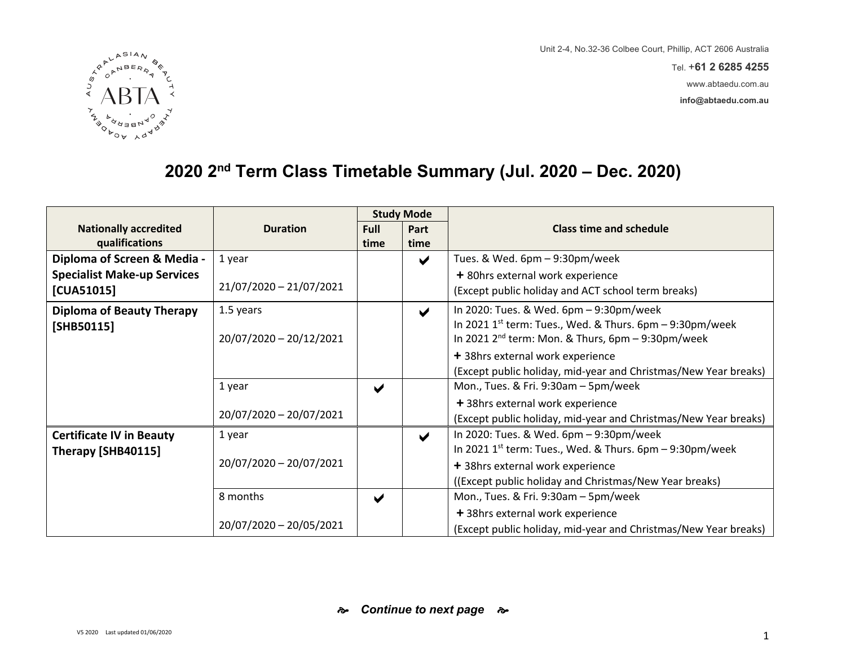Tel. +**61 2 6285 4255**

www.abtaedu.com.au

**info@abtaedu.com.au**



# **2020 2nd Term Class Timetable Summary (Jul. 2020 – Dec. 2020)**

|                                    |                         |                       | <b>Study Mode</b>     |                                                                        |
|------------------------------------|-------------------------|-----------------------|-----------------------|------------------------------------------------------------------------|
| <b>Nationally accredited</b>       | <b>Duration</b>         | <b>Full</b>           | Part                  | <b>Class time and schedule</b>                                         |
| qualifications                     |                         | time                  | time                  |                                                                        |
| Diploma of Screen & Media -        | 1 year                  |                       | $\blacktriangleright$ | Tues. & Wed. 6pm - 9:30pm/week                                         |
| <b>Specialist Make-up Services</b> |                         |                       |                       | + 80hrs external work experience                                       |
| [CUA51015]                         | 21/07/2020 - 21/07/2021 |                       |                       | (Except public holiday and ACT school term breaks)                     |
| <b>Diploma of Beauty Therapy</b>   | 1.5 years               |                       | $\blacktriangledown$  | In 2020: Tues. & Wed. 6pm - 9:30pm/week                                |
| [SHB50115]                         |                         |                       |                       | In 2021 1 <sup>st</sup> term: Tues., Wed. & Thurs. $6pm - 9:30pm/week$ |
|                                    | 20/07/2020 - 20/12/2021 |                       |                       | In 2021 $2^{nd}$ term: Mon. & Thurs, $6pm - 9:30pm/week$               |
|                                    |                         |                       |                       | + 38hrs external work experience                                       |
|                                    |                         |                       |                       | (Except public holiday, mid-year and Christmas/New Year breaks)        |
|                                    | 1 year                  | $\blacktriangledown$  |                       | Mon., Tues. & Fri. 9:30am - 5pm/week                                   |
|                                    |                         |                       |                       | + 38hrs external work experience                                       |
|                                    | 20/07/2020 - 20/07/2021 |                       |                       | (Except public holiday, mid-year and Christmas/New Year breaks)        |
| <b>Certificate IV in Beauty</b>    | 1 year                  |                       | $\blacktriangledown$  | In 2020: Tues. & Wed. 6pm - 9:30pm/week                                |
| Therapy [SHB40115]                 |                         |                       |                       | In 2021 1 <sup>st</sup> term: Tues., Wed. & Thurs. $6pm - 9:30pm/week$ |
|                                    | 20/07/2020 - 20/07/2021 |                       |                       | + 38hrs external work experience                                       |
|                                    |                         |                       |                       | ((Except public holiday and Christmas/New Year breaks)                 |
|                                    | 8 months                | $\blacktriangleright$ |                       | Mon., Tues. & Fri. 9:30am - 5pm/week                                   |
|                                    |                         |                       |                       | + 38hrs external work experience                                       |
|                                    | 20/07/2020 - 20/05/2021 |                       |                       | (Except public holiday, mid-year and Christmas/New Year breaks)        |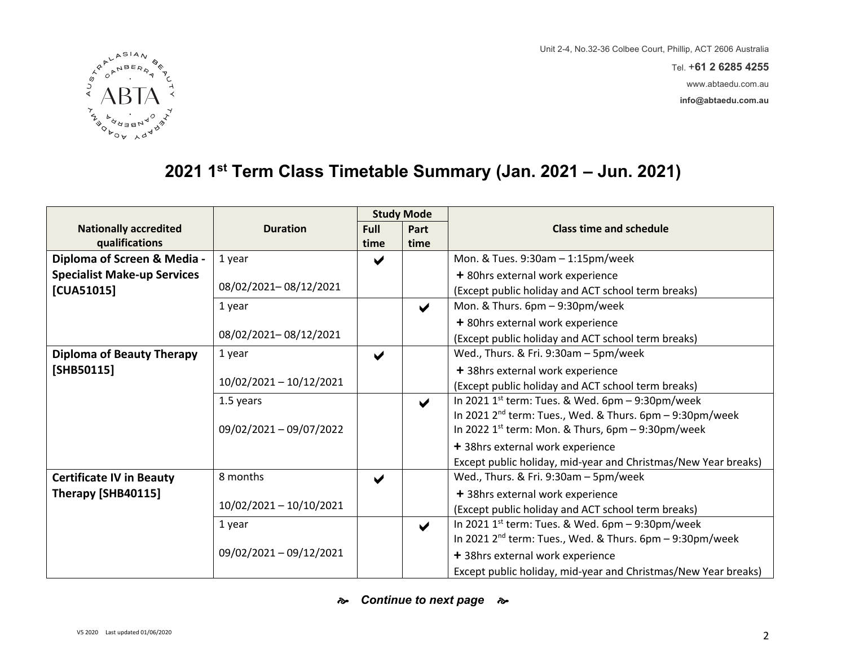Tel. +**61 2 6285 4255**

www.abtaedu.com.au

**info@abtaedu.com.au**



# **2021 1st Term Class Timetable Summary (Jan. 2021 – Jun. 2021)**

|                                    |                         | <b>Study Mode</b>    |                       |                                                                      |
|------------------------------------|-------------------------|----------------------|-----------------------|----------------------------------------------------------------------|
| <b>Nationally accredited</b>       | <b>Duration</b>         | <b>Full</b>          | Part                  | <b>Class time and schedule</b>                                       |
| qualifications                     |                         | time                 | time                  |                                                                      |
| Diploma of Screen & Media -        | 1 year                  | ✔                    |                       | Mon. & Tues. 9:30am - 1:15pm/week                                    |
| <b>Specialist Make-up Services</b> |                         |                      |                       | + 80hrs external work experience                                     |
| [CUA51015]                         | 08/02/2021-08/12/2021   |                      |                       | (Except public holiday and ACT school term breaks)                   |
|                                    | 1 year                  |                      | $\blacktriangleright$ | Mon. & Thurs. 6pm - 9:30pm/week                                      |
|                                    |                         |                      |                       | + 80hrs external work experience                                     |
|                                    | 08/02/2021-08/12/2021   |                      |                       | (Except public holiday and ACT school term breaks)                   |
| <b>Diploma of Beauty Therapy</b>   | 1 year                  | $\blacktriangledown$ |                       | Wed., Thurs. & Fri. 9:30am - 5pm/week                                |
| [SHB50115]                         |                         |                      |                       | + 38hrs external work experience                                     |
|                                    | 10/02/2021 - 10/12/2021 |                      |                       | (Except public holiday and ACT school term breaks)                   |
|                                    | 1.5 years               |                      | $\blacktriangleright$ | In 2021 $1^{st}$ term: Tues. & Wed. 6pm - 9:30pm/week                |
|                                    |                         |                      |                       | In 2021 2 <sup>nd</sup> term: Tues., Wed. & Thurs. 6pm - 9:30pm/week |
|                                    | 09/02/2021 - 09/07/2022 |                      |                       | In 2022 $1^{st}$ term: Mon. & Thurs, 6pm – 9:30pm/week               |
|                                    |                         |                      |                       | + 38hrs external work experience                                     |
|                                    |                         |                      |                       | Except public holiday, mid-year and Christmas/New Year breaks)       |
| <b>Certificate IV in Beauty</b>    | 8 months                | $\blacktriangledown$ |                       | Wed., Thurs. & Fri. 9:30am - 5pm/week                                |
| Therapy [SHB40115]                 |                         |                      |                       | + 38hrs external work experience                                     |
|                                    | 10/02/2021 - 10/10/2021 |                      |                       | (Except public holiday and ACT school term breaks)                   |
|                                    | 1 year                  |                      | $\blacktriangledown$  | In 2021 $1^{st}$ term: Tues. & Wed. 6pm – 9:30pm/week                |
|                                    |                         |                      |                       | In 2021 2 <sup>nd</sup> term: Tues., Wed. & Thurs. 6pm - 9:30pm/week |
|                                    | 09/02/2021 - 09/12/2021 |                      |                       | + 38hrs external work experience                                     |
|                                    |                         |                      |                       | Except public holiday, mid-year and Christmas/New Year breaks)       |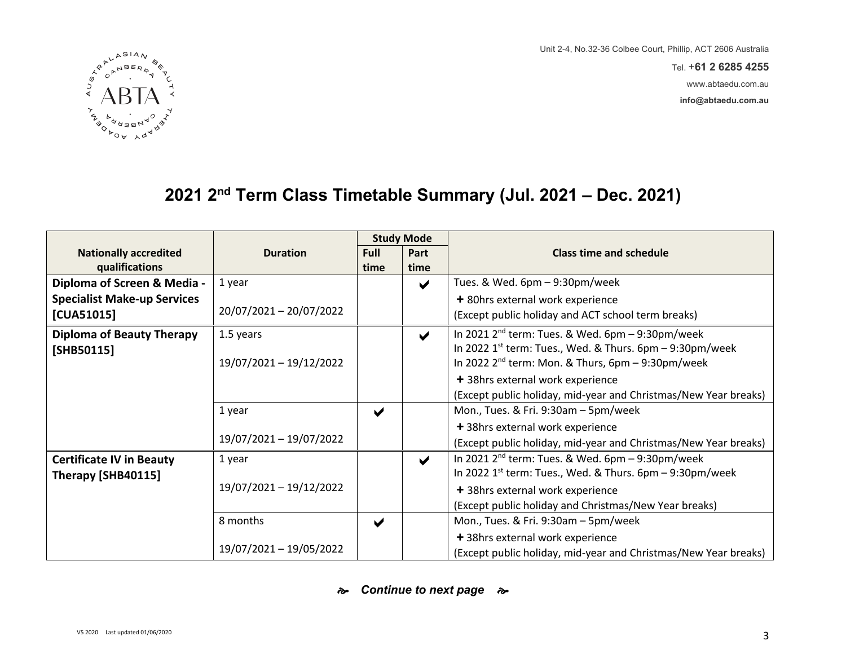Tel. +**61 2 6285 4255**

www.abtaedu.com.au

**info@abtaedu.com.au**



### **2021 2nd Term Class Timetable Summary (Jul. 2021 – Dec. 2021)**

|                                    |                         |                       | <b>Study Mode</b>     |                                                                 |
|------------------------------------|-------------------------|-----------------------|-----------------------|-----------------------------------------------------------------|
| <b>Nationally accredited</b>       | <b>Duration</b>         | Full                  | Part                  | <b>Class time and schedule</b>                                  |
| qualifications                     |                         | time                  | time                  |                                                                 |
| Diploma of Screen & Media -        | 1 year                  |                       | $\blacktriangleright$ | Tues. & Wed. 6pm - 9:30pm/week                                  |
| <b>Specialist Make-up Services</b> |                         |                       |                       | + 80hrs external work experience                                |
| [CUA51015]                         | 20/07/2021 - 20/07/2022 |                       |                       | (Except public holiday and ACT school term breaks)              |
| <b>Diploma of Beauty Therapy</b>   | 1.5 years               |                       | $\blacktriangledown$  | In 2021 $2^{nd}$ term: Tues. & Wed. 6pm - 9:30pm/week           |
| [SHB50115]                         |                         |                       |                       | In 2022 $1st$ term: Tues., Wed. & Thurs. 6pm - 9:30pm/week      |
|                                    | 19/07/2021 - 19/12/2022 |                       |                       | In 2022 $2^{nd}$ term: Mon. & Thurs, $6pm - 9:30pm/week$        |
|                                    |                         |                       |                       | + 38hrs external work experience                                |
|                                    |                         |                       |                       | (Except public holiday, mid-year and Christmas/New Year breaks) |
|                                    | 1 year                  | $\blacktriangleright$ |                       | Mon., Tues. & Fri. 9:30am - 5pm/week                            |
|                                    |                         |                       |                       | + 38hrs external work experience                                |
|                                    | 19/07/2021 - 19/07/2022 |                       |                       | (Except public holiday, mid-year and Christmas/New Year breaks) |
| <b>Certificate IV in Beauty</b>    | 1 year                  |                       | $\blacktriangledown$  | In 2021 2 <sup>nd</sup> term: Tues. & Wed. 6pm - 9:30pm/week    |
| Therapy [SHB40115]                 |                         |                       |                       | In 2022 $1^{st}$ term: Tues., Wed. & Thurs. 6pm $-9:30$ pm/week |
|                                    | 19/07/2021 - 19/12/2022 |                       |                       | + 38hrs external work experience                                |
|                                    |                         |                       |                       | (Except public holiday and Christmas/New Year breaks)           |
|                                    | 8 months                | $\blacktriangledown$  |                       | Mon., Tues. & Fri. 9:30am - 5pm/week                            |
|                                    |                         |                       |                       | + 38hrs external work experience                                |
|                                    | 19/07/2021 - 19/05/2022 |                       |                       | (Except public holiday, mid-year and Christmas/New Year breaks) |

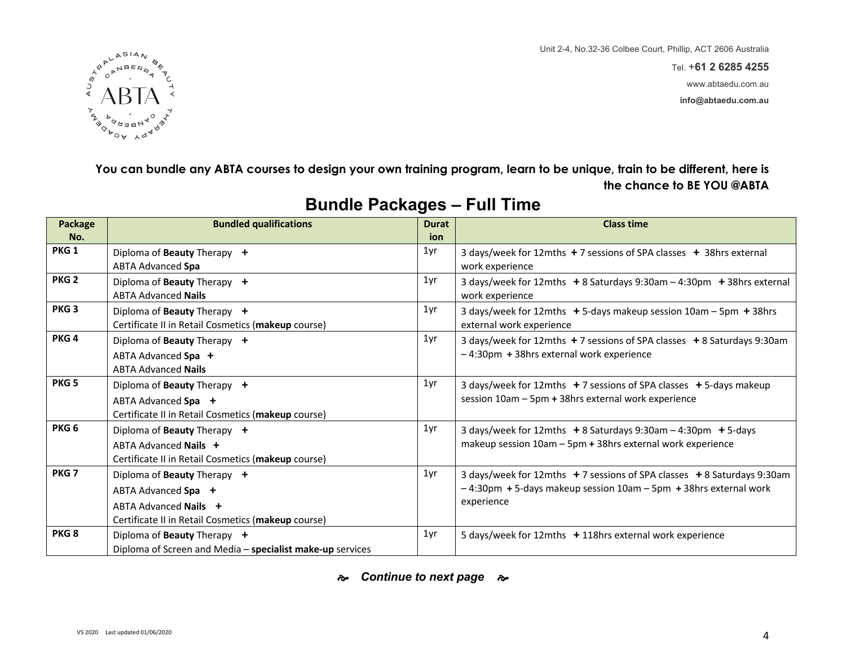Tel. +**61 2 6285 4255** www.abtaedu.com.au

**info@abtaedu.com.au**



**You can bundle any ABTA courses to design your own training program, learn to be unique, train to be different, here is the chance to BE YOU @ABTA**

| Package<br>No.   | <b>Bundled qualifications</b>                                                                                                     | <b>Durat</b><br>ion | <b>Class time</b>                                                                                                                                     |
|------------------|-----------------------------------------------------------------------------------------------------------------------------------|---------------------|-------------------------------------------------------------------------------------------------------------------------------------------------------|
| PKG <sub>1</sub> | Diploma of Beauty Therapy +<br>ABTA Advanced Spa                                                                                  | 1yr                 | 3 days/week for 12mths +7 sessions of SPA classes + 38hrs external<br>work experience                                                                 |
| PKG <sub>2</sub> | Diploma of Beauty Therapy +<br><b>ABTA Advanced Nails</b>                                                                         | 1yr                 | 3 days/week for 12mths +8 Saturdays 9:30am - 4:30pm + 38hrs external<br>work experience                                                               |
| PKG <sub>3</sub> | Diploma of Beauty Therapy +<br>Certificate II in Retail Cosmetics (makeup course)                                                 | 1yr                 | 3 days/week for 12mths + 5-days makeup session 10am - 5pm + 38hrs<br>external work experience                                                         |
| PKG <sub>4</sub> | Diploma of Beauty Therapy +<br>ABTA Advanced Spa +<br><b>ABTA Advanced Nails</b>                                                  | 1yr                 | 3 days/week for 12mths +7 sessions of SPA classes +8 Saturdays 9:30am<br>-4:30pm + 38hrs external work experience                                     |
| PKG <sub>5</sub> | Diploma of Beauty Therapy +<br>ABTA Advanced Spa +<br>Certificate II in Retail Cosmetics (makeup course)                          | 1yr                 | 3 days/week for 12mths $+7$ sessions of SPA classes $+5$ -days makeup<br>session 10am - 5pm + 38hrs external work experience                          |
| PKG <sub>6</sub> | Diploma of Beauty Therapy +<br>ABTA Advanced Nails +<br>Certificate II in Retail Cosmetics (makeup course)                        | 1yr                 | 3 days/week for 12mths $+8$ Saturdays 9:30am $-4$ :30pm $+5$ -days<br>makeup session 10am - 5pm + 38hrs external work experience                      |
| PKG <sub>7</sub> | Diploma of Beauty Therapy +<br>ABTA Advanced Spa +<br>ABTA Advanced Nails +<br>Certificate II in Retail Cosmetics (makeup course) | 1yr                 | 3 days/week for 12mths +7 sessions of SPA classes +8 Saturdays 9:30am<br>-4:30pm +5-days makeup session 10am - 5pm +38hrs external work<br>experience |
| PKG <sub>8</sub> | Diploma of Beauty Therapy +<br>Diploma of Screen and Media - specialist make-up services                                          | 1yr                 | 5 days/week for 12mths + 118hrs external work experience                                                                                              |

#### **Bundle Packages – Full Time**

**e** *Continue to next page*  $\approx$